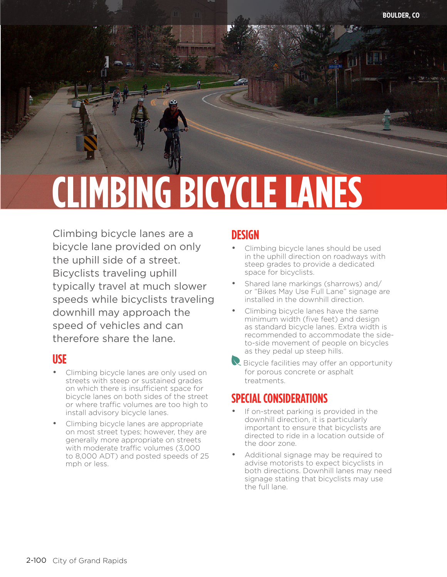# **CLIMBING BICYCLE LANES**

Climbing bicycle lanes are a bicycle lane provided on only the uphill side of a street. Bicyclists traveling uphill typically travel at much slower speeds while bicyclists traveling downhill may approach the speed of vehicles and can therefore share the lane.

#### **USE**

- Climbing bicycle lanes are only used on streets with steep or sustained grades on which there is insufficient space for bicycle lanes on both sides of the street or where traffic volumes are too high to install advisory bicycle lanes.
- Climbing bicycle lanes are appropriate on most street types; however, they are generally more appropriate on streets with moderate traffic volumes (3,000 to 8,000 ADT) and posted speeds of 25 mph or less.

#### **DESIGN**

- Climbing bicycle lanes should be used in the uphill direction on roadways with steep grades to provide a dedicated space for bicyclists.
- Shared lane markings (sharrows) and/ or "Bikes May Use Full Lane" signage are installed in the downhill direction.
- Climbing bicycle lanes have the same minimum width (five feet) and design as standard bicycle lanes. Extra width is recommended to accommodate the sideto-side movement of people on bicycles as they pedal up steep hills.
- $\vee$  Bicycle facilities may offer an opportunity for porous concrete or asphalt treatments.

### **SPECIAL CONSIDERATIONS**

- If on-street parking is provided in the downhill direction, it is particularly important to ensure that bicyclists are directed to ride in a location outside of the door zone.
- Additional signage may be required to advise motorists to expect bicyclists in both directions. Downhill lanes may need signage stating that bicyclists may use the full lane.